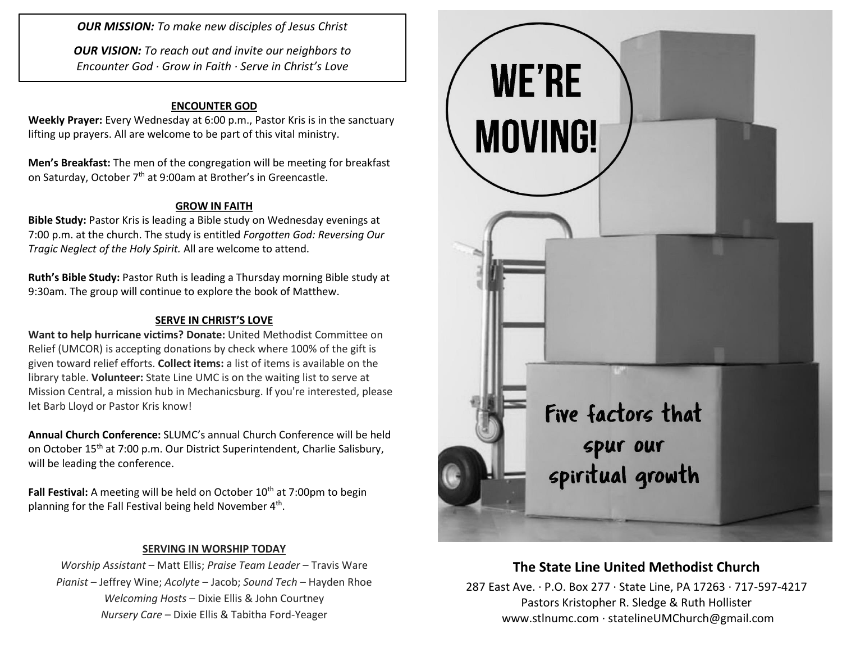*OUR MISSION: To make new disciples of Jesus Christ*

*OUR VISION: To reach out and invite our neighbors to Encounter God · Grow in Faith · Serve in Christ's Love*

## **ENCOUNTER GOD**

**Weekly Prayer:** Every Wednesday at 6:00 p.m., Pastor Kris is in the sanctuary lifting up prayers. All are welcome to be part of this vital ministry.

**Men's Breakfast:** The men of the congregation will be meeting for breakfast on Saturday, October 7<sup>th</sup> at 9:00am at Brother's in Greencastle.

## **GROW IN FAITH**

**Bible Study:** Pastor Kris is leading a Bible study on Wednesday evenings at 7:00 p.m. at the church. The study is entitled *Forgotten God: Reversing Our Tragic Neglect of the Holy Spirit.* All are welcome to attend.

**Ruth's Bible Study:** Pastor Ruth is leading a Thursday morning Bible study at 9:30am. The group will continue to explore the book of Matthew.

#### **SERVE IN CHRIST'S LOVE**

**Want to help hurricane victims? Donate:** United Methodist Committee on Relief (UMCOR) is accepting donations by check where 100% of the gift is given toward relief efforts. **Collect items:** a list of items is available on the library table. **Volunteer:** State Line UMC is on the waiting list to serve at Mission Central, a mission hub in Mechanicsburg. If you're interested, please let Barb Lloyd or Pastor Kris know!

**Annual Church Conference:** SLUMC's annual Church Conference will be held on October 15<sup>th</sup> at 7:00 p.m. Our District Superintendent, Charlie Salisbury, will be leading the conference.

**Fall Festival:** A meeting will be held on October 10<sup>th</sup> at 7:00pm to begin planning for the Fall Festival being held November  $4<sup>th</sup>$ .

## **SERVING IN WORSHIP TODAY**

*Worship Assistant* – Matt Ellis; *Praise Team Leader* – Travis Ware *Pianist* – Jeffrey Wine; *Acolyte* – Jacob; *Sound Tech* – Hayden Rhoe *Welcoming Hosts* – Dixie Ellis & John Courtney *Nursery Care* – Dixie Ellis & Tabitha Ford-Yeager



# **The State Line United Methodist Church**

287 East Ave. · P.O. Box 277 · State Line, PA 17263 · 717-597-4217 Pastors Kristopher R. Sledge & Ruth Hollister [www.stlnumc.com](http://www.stlnumc.com/) · statelineUMChurch@gmail.com